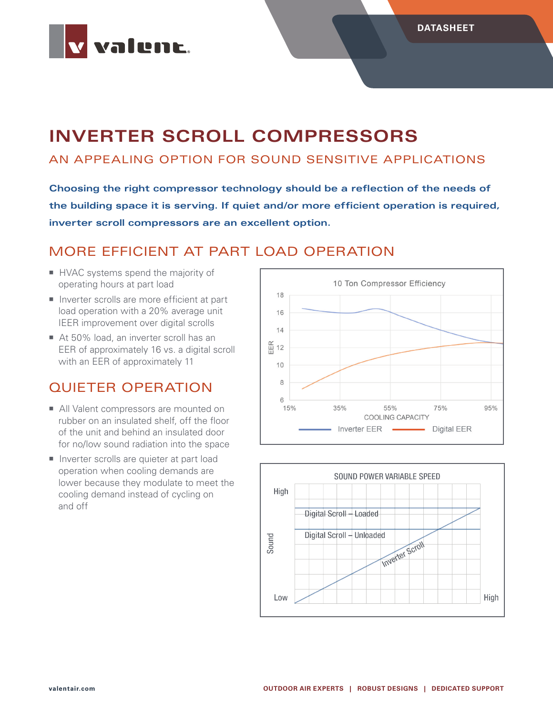

# **INVERTER SCROLL COMPRESSORS**

#### AN APPEALING OPTION FOR SOUND SENSITIVE APPLICATIONS

**Choosing the right compressor technology should be a reflection of the needs of the building space it is serving. If quiet and/or more efficient operation is required, inverter scroll compressors are an excellent option.**

#### MORE EFFICIENT AT PART LOAD OPERATION

- HVAC systems spend the majority of operating hours at part load
- Inverter scrolls are more efficient at part load operation with a 20% average unit IEER improvement over digital scrolls
- At 50% load, an inverter scroll has an EER of approximately 16 vs. a digital scroll with an EER of approximately 11

#### QUIETER OPERATION

- All Valent compressors are mounted on rubber on an insulated shelf, off the floor of the unit and behind an insulated door for no/low sound radiation into the space
- **Inverter scrolls are quieter at part load** operation when cooling demands are lower because they modulate to meet the cooling demand instead of cycling on and off